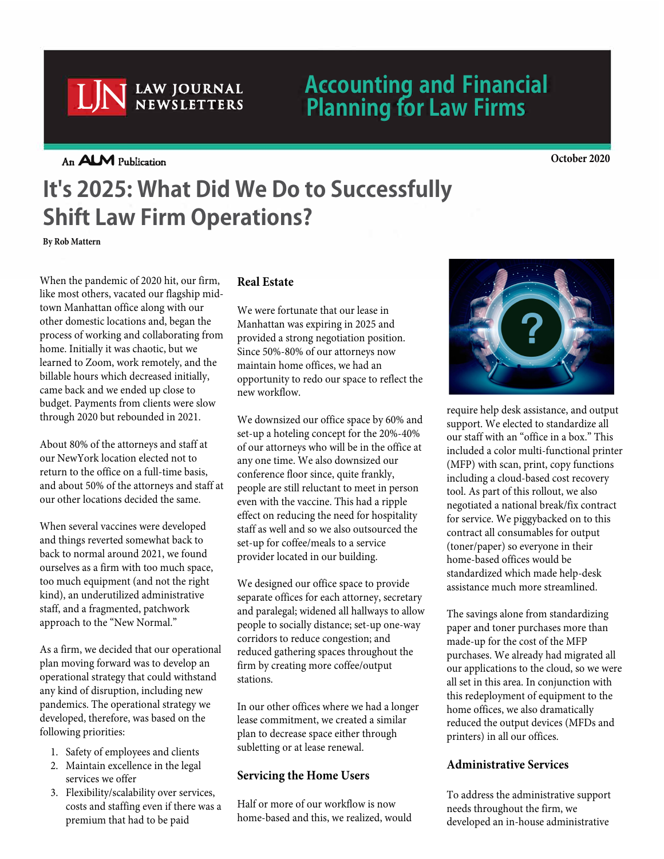## **Accounting and Financial Planning for Law Firms**

**An ALM Publication October 2020**

LJN **LAW JOURNAL NEWSLETTERS** 

# **It's 2025: What Did We Do to Successfully Shift Law Firm Operations?**

**By Rob Mattern**

When the pandemic of 2020 hit, our firm, like most others, vacated our flagship midtown Manhattan office along with our other domestic locations and, began the process of working and collaborating from home. Initially it was chaotic, but we learned to Zoom, work remotely, and the billable hours which decreased initially, came back and we ended up close to budget. Payments from clients were slow through 2020 but rebounded in 2021.

About 80% of the attorneys and staff at our NewYork location elected not to return to the office on a full-time basis, and about 50% of the attorneys and staff at our other locations decided the same.

When several vaccines were developed and things reverted somewhat back to back to normal around 2021, we found ourselves as a firm with too much space, too much equipment (and not the right kind), an underutilized administrative staff, and a fragmented, patchwork approach to the "New Normal."

As a firm, we decided that our operational plan moving forward was to develop an operational strategy that could withstand any kind of disruption, including new pandemics. The operational strategy we developed, therefore, was based on the following priorities:

- 1. Safety of employees and clients
- 2. Maintain excellence in the legal services we offer
- 3. Flexibility/scalability over services, costs and staffing even if there was a premium that had to be paid

### **Real Estate**

We were fortunate that our lease in Manhattan was expiring in 2025 and provided a strong negotiation position. Since 50%-80% of our attorneys now maintain home offices, we had an opportunity to redo our space to reflect the new workflow.

We downsized our office space by 60% and set-up a hoteling concept for the 20%-40% of our attorneys who will be in the office at any one time. We also downsized our conference floor since, quite frankly, people are still reluctant to meet in person even with the vaccine. This had a ripple effect on reducing the need for hospitality staff as well and so we also outsourced the set-up for coffee/meals to a service provider located in our building.

We designed our office space to provide separate offices for each attorney, secretary and paralegal; widened all hallways to allow people to socially distance; set-up one-way corridors to reduce congestion; and reduced gathering spaces throughout the firm by creating more coffee/output stations.

In our other offices where we had a longer lease commitment, we created a similar plan to decrease space either through subletting or at lease renewal.

### **Servicing the Home Users**

Half or more of our workflow is now home-based and this, we realized, would



require help desk assistance, and output support. We elected to standardize all our staff with an "office in a box." This included a color multi-functional printer (MFP) with scan, print, copy functions including a cloud-based cost recovery tool. As part of this rollout, we also negotiated a national break/fix contract for service. We piggybacked on to this contract all consumables for output (toner/paper) so everyone in their home-based offices would be standardized which made help-desk assistance much more streamlined.

The savings alone from standardizing paper and toner purchases more than made-up for the cost of the MFP purchases. We already had migrated all our applications to the cloud, so we were all set in this area. In conjunction with this redeployment of equipment to the home offices, we also dramatically reduced the output devices (MFDs and printers) in all our offices.

#### **Administrative Services**

To address the administrative support needs throughout the firm, we developed an in-house administrative